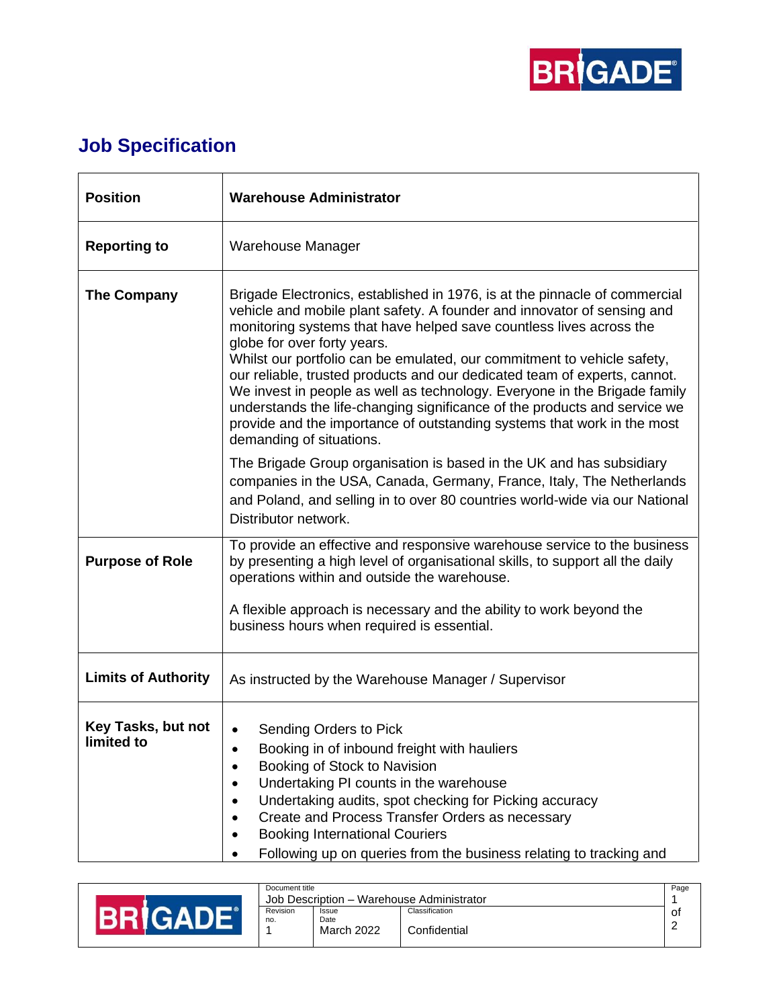

## **Job Specification**

| <b>Position</b>                  | <b>Warehouse Administrator</b>                                                                                                                                                                                                                                                                                                                                                                                                                                                                                                                                                                                                                                                       |
|----------------------------------|--------------------------------------------------------------------------------------------------------------------------------------------------------------------------------------------------------------------------------------------------------------------------------------------------------------------------------------------------------------------------------------------------------------------------------------------------------------------------------------------------------------------------------------------------------------------------------------------------------------------------------------------------------------------------------------|
| <b>Reporting to</b>              | Warehouse Manager                                                                                                                                                                                                                                                                                                                                                                                                                                                                                                                                                                                                                                                                    |
| <b>The Company</b>               | Brigade Electronics, established in 1976, is at the pinnacle of commercial<br>vehicle and mobile plant safety. A founder and innovator of sensing and<br>monitoring systems that have helped save countless lives across the<br>globe for over forty years.<br>Whilst our portfolio can be emulated, our commitment to vehicle safety,<br>our reliable, trusted products and our dedicated team of experts, cannot.<br>We invest in people as well as technology. Everyone in the Brigade family<br>understands the life-changing significance of the products and service we<br>provide and the importance of outstanding systems that work in the most<br>demanding of situations. |
|                                  | The Brigade Group organisation is based in the UK and has subsidiary<br>companies in the USA, Canada, Germany, France, Italy, The Netherlands<br>and Poland, and selling in to over 80 countries world-wide via our National<br>Distributor network.                                                                                                                                                                                                                                                                                                                                                                                                                                 |
| <b>Purpose of Role</b>           | To provide an effective and responsive warehouse service to the business<br>by presenting a high level of organisational skills, to support all the daily<br>operations within and outside the warehouse.                                                                                                                                                                                                                                                                                                                                                                                                                                                                            |
|                                  | A flexible approach is necessary and the ability to work beyond the<br>business hours when required is essential.                                                                                                                                                                                                                                                                                                                                                                                                                                                                                                                                                                    |
| <b>Limits of Authority</b>       | As instructed by the Warehouse Manager / Supervisor                                                                                                                                                                                                                                                                                                                                                                                                                                                                                                                                                                                                                                  |
| Key Tasks, but not<br>limited to | Sending Orders to Pick<br>Booking in of inbound freight with hauliers<br>Booking of Stock to Navision<br>Undertaking PI counts in the warehouse<br>Undertaking audits, spot checking for Picking accuracy<br>$\bullet$<br>Create and Process Transfer Orders as necessary<br>$\bullet$<br><b>Booking International Couriers</b><br>٠<br>Following up on queries from the business relating to tracking and<br>$\bullet$                                                                                                                                                                                                                                                              |

|  | Document title                            |                    |                | Page   |
|--|-------------------------------------------|--------------------|----------------|--------|
|  | Job Description - Warehouse Administrator |                    |                |        |
|  | Revision                                  | Issue              | Classification | 0t     |
|  | no.                                       | Date<br>March 2022 | Confidential   | $\sim$ |
|  |                                           |                    |                |        |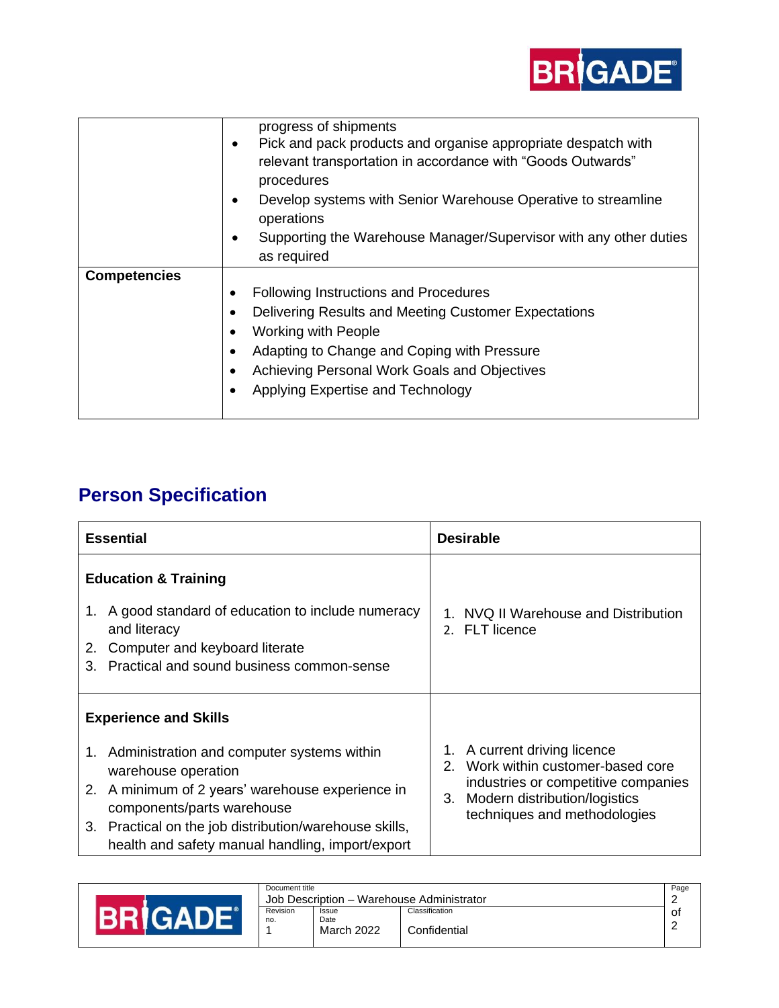

|                     | progress of shipments<br>Pick and pack products and organise appropriate despatch with<br>٠<br>relevant transportation in accordance with "Goods Outwards"<br>procedures<br>Develop systems with Senior Warehouse Operative to streamline<br>operations<br>Supporting the Warehouse Manager/Supervisor with any other duties<br>as required |
|---------------------|---------------------------------------------------------------------------------------------------------------------------------------------------------------------------------------------------------------------------------------------------------------------------------------------------------------------------------------------|
| <b>Competencies</b> | Following Instructions and Procedures<br>٠<br>Delivering Results and Meeting Customer Expectations<br>Working with People<br>Adapting to Change and Coping with Pressure<br>Achieving Personal Work Goals and Objectives<br>Applying Expertise and Technology                                                                               |

## **Person Specification**

| <b>Essential</b>                                                                                                                                                                                                                                                                                     | <b>Desirable</b>                                                                                                                                                                |  |  |
|------------------------------------------------------------------------------------------------------------------------------------------------------------------------------------------------------------------------------------------------------------------------------------------------------|---------------------------------------------------------------------------------------------------------------------------------------------------------------------------------|--|--|
| <b>Education &amp; Training</b><br>1. A good standard of education to include numeracy<br>and literacy<br>Computer and keyboard literate<br>2.<br>Practical and sound business common-sense<br>3                                                                                                     | 1. NVQ II Warehouse and Distribution<br>2. FLT licence                                                                                                                          |  |  |
| <b>Experience and Skills</b><br>1. Administration and computer systems within<br>warehouse operation<br>2. A minimum of 2 years' warehouse experience in<br>components/parts warehouse<br>3. Practical on the job distribution/warehouse skills,<br>health and safety manual handling, import/export | 1. A current driving licence<br>Work within customer-based core<br>2<br>industries or competitive companies<br>3. Modern distribution/logistics<br>techniques and methodologies |  |  |

|  | Document title                            |                      |                | Page |
|--|-------------------------------------------|----------------------|----------------|------|
|  | Job Description - Warehouse Administrator |                      |                |      |
|  | Revision                                  | <b>Issue</b><br>Date | Classification | оt   |
|  | no.                                       | March 2022           | Confidential   |      |